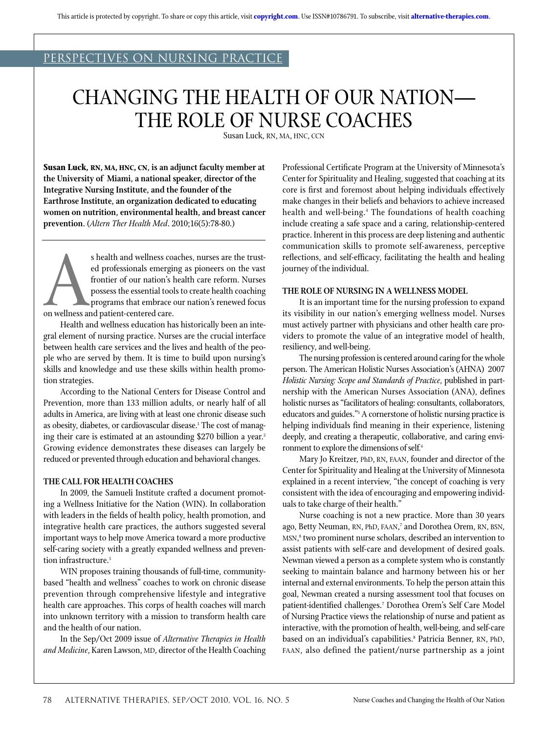## PERSPECTIVES ON NURSING PRACTICE

# Changing the Health of our Nation— The Role of Nurse Coaches

Susan Luck, RN, MA, HNC, CCN

**Susan Luck, RN, MA, HNC, CN, is an adjunct faculty member at the University of Miami, a national speaker, director of the Integrative Nursing Institute, and the founder of the Earthrose Institute, an organization dedicated to educating women on nutrition, environmental health, and breast cancer prevention.** (*Altern Ther Health Med*. 2010;16(5):78-80.)

s health and wellness coaches, nurses are the trust-<br>ed professionals emerging as pioneers on the vast<br>frontier of our nation's health care reform. Nurses<br>possess the essential tools to create health coaching<br>programs that ed professionals emerging as pioneers on the vast frontier of our nation's health care reform. Nurses possess the essential tools to create health coaching programs that embrace our nation's renewed focus on wellness and patient-centered care.

Health and wellness education has historically been an integral element of nursing practice. Nurses are the crucial interface between health care services and the lives and health of the people who are served by them. It is time to build upon nursing's skills and knowledge and use these skills within health promotion strategies.

According to the National Centers for Disease Control and Prevention, more than 133 million adults, or nearly half of all adults in America, are living with at least one chronic disease such as obesity, diabetes, or cardiovascular disease.<sup>1</sup> The cost of managing their care is estimated at an astounding \$270 billion a year.<sup>2</sup> Growing evidence demonstrates these diseases can largely be reduced or prevented through education and behavioral changes.

### **The Call for Health Coaches**

In 2009, the Samueli Institute crafted a document promoting a Wellness Initiative for the Nation (WIN). In collaboration with leaders in the fields of health policy, health promotion, and integrative health care practices, the authors suggested several important ways to help move America toward a more productive self-caring society with a greatly expanded wellness and prevention infrastructure.<sup>3</sup>

WIN proposes training thousands of full-time, communitybased "health and wellness" coaches to work on chronic disease prevention through comprehensive lifestyle and integrative health care approaches. This corps of health coaches will march into unknown territory with a mission to transform health care and the health of our nation.

In the Sep/Oct 2009 issue of *Alternative Therapies in Health and Medicine*, Karen Lawson, MD, director of the Health Coaching

Professional Certificate Program at the University of Minnesota's Center for Spirituality and Healing, suggested that coaching at its core is first and foremost about helping individuals effectively make changes in their beliefs and behaviors to achieve increased health and well-being.<sup>4</sup> The foundations of health coaching include creating a safe space and a caring, relationship-centered practice. Inherent in this process are deep listening and authentic communication skills to promote self-awareness, perceptive reflections, and self-efficacy, facilitating the health and healing journey of the individual.

#### **The Role of Nursing in a Wellness Model**

It is an important time for the nursing profession to expand its visibility in our nation's emerging wellness model. Nurses must actively partner with physicians and other health care providers to promote the value of an integrative model of health, resiliency, and well-being.

The nursing profession is centered around caring for the whole person. The American Holistic Nurses Association's (AHNA) 2007 *Holistic Nursing: Scope and Standards of Practice*, published in partnership with the American Nurses Association (ANA), defines holistic nurses as "facilitators of healing: consultants, collaborators, educators and guides."<sup>5</sup> A cornerstone of holistic nursing practice is helping individuals find meaning in their experience, listening deeply, and creating a therapeutic, collaborative, and caring environment to explore the dimensions of self*.* 6

Mary Jo Kreitzer, PhD, RN, FAAN, founder and director of the Center for Spirituality and Healing at the University of Minnesota explained in a recent interview, "the concept of coaching is very consistent with the idea of encouraging and empowering individuals to take charge of their health."

Nurse coaching is not a new practice. More than 30 years ago, Betty Neuman, RN, PhD, FAAN,<sup>7</sup> and Dorothea Orem, RN, BSN, MSN, 8 two prominent nurse scholars, described an intervention to assist patients with self-care and development of desired goals. Newman viewed a person as a complete system who is constantly seeking to maintain balance and harmony between his or her internal and external environments. To help the person attain this goal, Newman created a nursing assessment tool that focuses on patient-identified challenges.7 Dorothea Orem's Self Care Model of Nursing Practice views the relationship of nurse and patient as interactive, with the promotion of health, well-being, and self-care based on an individual's capabilities.8 Patricia Benner, RN, PhD, FAAN, also defined the patient/nurse partnership as a joint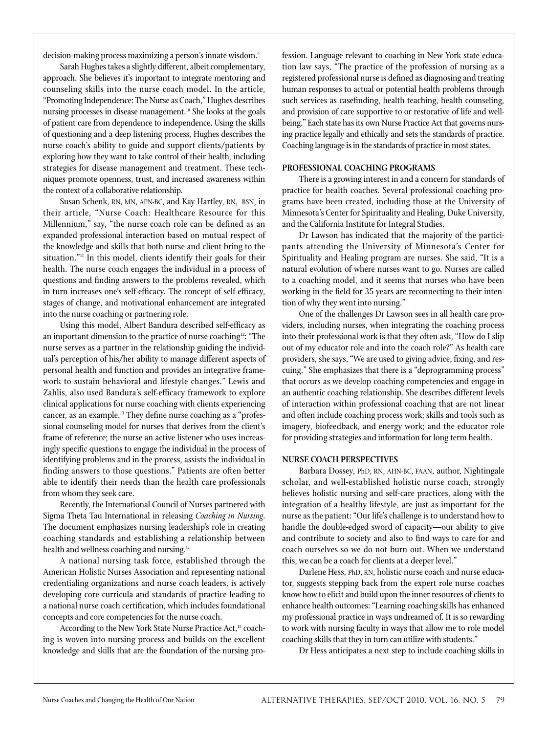decision-making process maximizing a person's innate wisdom.<sup>9</sup>

Sarah Hughes takes a slightly different, albeit complementary, approach. She believes it's important to integrate mentoring and counseling skills into the nurse coach model. In the article, "Promoting Independence: The Nurse as Coach," Hughes describes nursing processes in disease management.<sup>10</sup> She looks at the goals of patient care from dependence to independence. Using the skills of questioning and a deep listening process, Hughes describes the nurse coach's ability to guide and support clients/patients by exploring how they want to take control of their health, including strategies for disease management and treatment. These techniques promote openness, trust, and increased awareness within the context of a collaborative relationship.

Susan Schenk, RN, MN, APN-BC, and Kay Hartley, RN, BSN, in their article, "Nurse Coach: Healthcare Resource for this Millennium," say, "the nurse coach role can be defined as an expanded professional interaction based on mutual respect of the knowledge and skills that both nurse and client bring to the situation."<sup>11</sup> In this model, clients identify their goals for their health. The nurse coach engages the individual in a process of questions and finding answers to the problems revealed, which in turn increases one's self-efficacy. The concept of self-efficacy, stages of change, and motivational enhancement are integrated into the nurse coaching or partnering role.

Using this model, Albert Bandura described self-efficacy as an important dimension to the practice of nurse coaching12: "The nurse serves as a partner in the relationship guiding the individual's perception of his/her ability to manage different aspects of personal health and function and provides an integrative framework to sustain behavioral and lifestyle changes." Lewis and Zahlis, also used Bandura's self-efficacy framework to explore clinical applications for nurse coaching with clients experiencing cancer, as an example.13 They define nurse coaching as a "professional counseling model for nurses that derives from the client's frame of reference; the nurse an active listener who uses increasingly specific questions to engage the individual in the process of identifying problems and in the process, assists the individual in finding answers to those questions." Patients are often better able to identify their needs than the health care professionals from whom they seek care.

Recently, the International Council of Nurses partnered with Sigma Theta Tau International in releasing *Coaching in Nursing*. The document emphasizes nursing leadership's role in creating coaching standards and establishing a relationship between health and wellness coaching and nursing.<sup>14</sup>

A national nursing task force, established through the American Holistic Nurses Association and representing national credentialing organizations and nurse coach leaders, is actively developing core curricula and standards of practice leading to a national nurse coach certification, which includes foundational concepts and core competencies for the nurse coach.

According to the New York State Nurse Practice Act,<sup>15</sup> coaching is woven into nursing process and builds on the excellent knowledge and skills that are the foundation of the nursing profession. Language relevant to coaching in New York state education law says, "The practice of the profession of nursing as a registered professional nurse is defined as diagnosing and treating human responses to actual or potential health problems through such services as casefinding, health teaching, health counseling, and provision of care supportive to or restorative of life and wellbeing." Each state has its own Nurse Practice Act that governs nursing practice legally and ethically and sets the standards of practice. Coaching language is in the standards of practice in most states.

#### **Professional Coaching Programs**

There is a growing interest in and a concern for standards of practice for health coaches. Several professional coaching programs have been created, including those at the University of Minnesota's Center for Spirituality and Healing, Duke University, and the California Institute for Integral Studies.

Dr Lawson has indicated that the majority of the participants attending the University of Minnesota's Center for Spirituality and Healing program are nurses. She said, "It is a natural evolution of where nurses want to go. Nurses are called to a coaching model, and it seems that nurses who have been working in the field for 35 years are reconnecting to their intention of why they went into nursing."

One of the challenges Dr Lawson sees in all health care providers, including nurses, when integrating the coaching process into their professional work is that they often ask, "How do I slip out of my educator role and into the coach role?" As health care providers, she says, "We are used to giving advice, fixing, and rescuing." She emphasizes that there is a "deprogramming process" that occurs as we develop coaching competencies and engage in an authentic coaching relationship. She describes different levels of interaction within professional coaching that are not linear and often include coaching process work; skills and tools such as imagery, biofeedback, and energy work; and the educator role for providing strategies and information for long term health.

#### **Nurse Coach Perspectives**

Barbara Dossey, PhD, RN, AHN-BC, FAAN, author, Nightingale scholar, and well-established holistic nurse coach, strongly believes holistic nursing and self-care practices, along with the integration of a healthy lifestyle, are just as important for the nurse as the patient: "Our life's challenge is to understand how to handle the double-edged sword of capacity—our ability to give and contribute to society and also to find ways to care for and coach ourselves so we do not burn out. When we understand this, we can be a coach for clients at a deeper level."

Darlene Hess, PhD, RN, holistic nurse coach and nurse educator, suggests stepping back from the expert role nurse coaches know how to elicit and build upon the inner resources of clients to enhance health outcomes: "Learning coaching skills has enhanced my professional practice in ways undreamed of. It is so rewarding to work with nursing faculty in ways that allow me to role model coaching skills that they in turn can utilize with students."

Dr Hess anticipates a next step to include coaching skills in